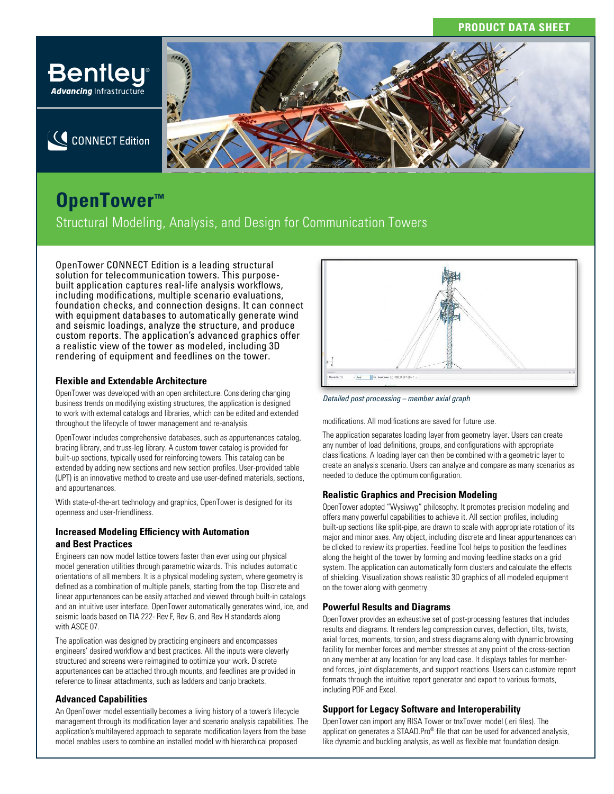## **PRODUCT DATA SHEET**



CONNECT Edition

# **ButchenTower™**

Structural Modeling, Analysis, and Design for Communication Towers

OpenTower CONNECT Edition is a leading structural solution for telecommunication towers. This purposebuilt application captures real-life analysis workflows, including modifications, multiple scenario evaluations, foundation checks, and connection designs. It can connect with equipment databases to automatically generate wind and seismic loadings, analyze the structure, and produce custom reports. The application's advanced graphics offer a realistic view of the tower as modeled, including 3D rendering of equipment and feedlines on the tower.

### **Flexible and Extendable Architecture**

OpenTower was developed with an open architecture. Considering changing business trends on modifying existing structures, the application is designed to work with external catalogs and libraries, which can be edited and extended throughout the lifecycle of tower management and re-analysis.

OpenTower includes comprehensive databases, such as appurtenances catalog, bracing library, and truss-leg library. A custom tower catalog is provided for built-up sections, typically used for reinforcing towers. This catalog can be extended by adding new sections and new section profiles. User-provided table (UPT) is an innovative method to create and use user-defined materials, sections, and appurtenances.

With state-of-the-art technology and graphics, OpenTower is designed for its openness and user-friendliness.

### **Increased Modeling Efficiency with Automation and Best Practices**

Engineers can now model lattice towers faster than ever using our physical model generation utilities through parametric wizards. This includes automatic orientations of all members. It is a physical modeling system, where geometry is defined as a combination of multiple panels, starting from the top. Discrete and linear appurtenances can be easily attached and viewed through built-in catalogs and an intuitive user interface. OpenTower automatically generates wind, ice, and seismic loads based on TIA 222- Rev F, Rev G, and Rev H standards along with ASCE 07.

The application was designed by practicing engineers and encompasses engineers' desired workflow and best practices. All the inputs were cleverly structured and screens were reimagined to optimize your work. Discrete appurtenances can be attached through mounts, and feedlines are provided in reference to linear attachments, such as ladders and banjo brackets.

### **Advanced Capabilities**

An OpenTower model essentially becomes a living history of a tower's lifecycle management through its modification layer and scenario analysis capabilities. The application's multilayered approach to separate modification layers from the base model enables users to combine an installed model with hierarchical proposed



*Detailed post processing – member axial graph*

modifications. All modifications are saved for future use.

The application separates loading layer from geometry layer. Users can create any number of load definitions, groups, and configurations with appropriate classifications. A loading layer can then be combined with a geometric layer to create an analysis scenario. Users can analyze and compare as many scenarios as needed to deduce the optimum configuration.

### **Realistic Graphics and Precision Modeling**

OpenTower adopted "Wysiwyg" philosophy. It promotes precision modeling and offers many powerful capabilities to achieve it. All section profiles, including built-up sections like split-pipe, are drawn to scale with appropriate rotation of its major and minor axes. Any object, including discrete and linear appurtenances can be clicked to review its properties. Feedline Tool helps to position the feedlines along the height of the tower by forming and moving feedline stacks on a grid system. The application can automatically form clusters and calculate the effects of shielding. Visualization shows realistic 3D graphics of all modeled equipment on the tower along with geometry.

### **Powerful Results and Diagrams**

OpenTower provides an exhaustive set of post-processing features that includes results and diagrams. It renders leg compression curves, deflection, tilts, twists, axial forces, moments, torsion, and stress diagrams along with dynamic browsing facility for member forces and member stresses at any point of the cross-section on any member at any location for any load case. It displays tables for memberend forces, joint displacements, and support reactions. Users can customize report formats through the intuitive report generator and export to various formats, including PDF and Excel.

### **Support for Legacy Software and Interoperability**

OpenTower can import any RISA Tower or tnxTower model (.eri files). The application generates a STAAD.Pro® file that can be used for advanced analysis, like dynamic and buckling analysis, as well as flexible mat foundation design.